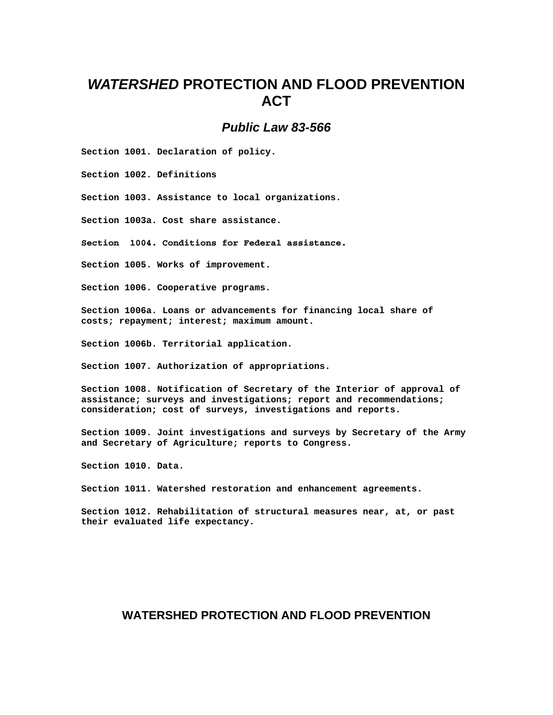# *WATERSHED* **PROTECTION AND FLOOD PREVENTION ACT**

# *Public Law 83-566*

**Section 1001. Declaration of policy.** 

**Section 1002. Definitions** 

**Section 1003. Assistance to local organizations.** 

**Section 1003a. Cost share assistance.** 

**Section 1004. Conditions for Federal assistance.** 

**Section 1005. Works of improvement.** 

**Section 1006. Cooperative programs.** 

**Section 1006a. Loans or advancements for financing local share of costs; repayment; interest; maximum amount.** 

**Section 1006b. Territorial application.** 

**Section 1007. Authorization of appropriations.** 

**Section 1008. Notification of Secretary of the Interior of approval of assistance; surveys and investigations; report and recommendations; consideration; cost of surveys, investigations and reports.** 

**Section 1009. Joint investigations and surveys by Secretary of the Army and Secretary of Agriculture; reports to Congress.** 

**Section 1010. Data.** 

**Section 1011. Watershed restoration and enhancement agreements.** 

**Section 1012. Rehabilitation of structural measures near, at, or past their evaluated life expectancy.** 

# **WATERSHED PROTECTION AND FLOOD PREVENTION**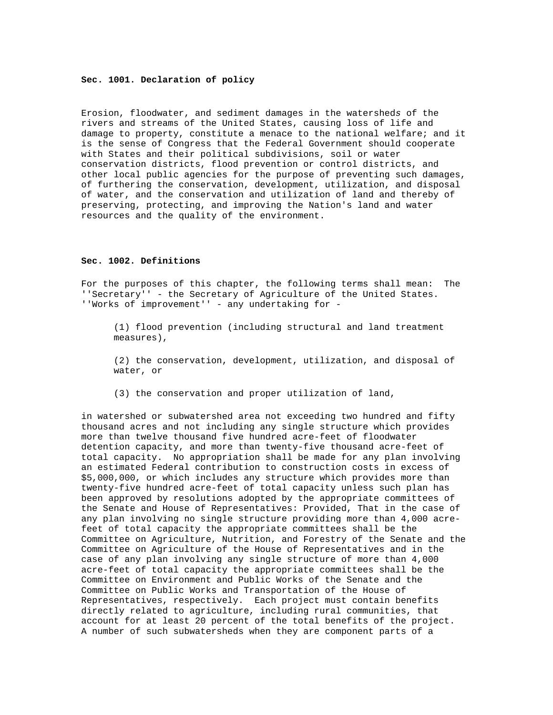#### **Sec. 1001. Declaration of policy**

Erosion, floodwater, and sediment damages in the watershed*s* of the rivers and streams of the United States, causing loss of life and damage to property, constitute a menace to the national welfare; and it is the sense of Congress that the Federal Government should cooperate with States and their political subdivisions, soil or water conservation districts, flood prevention or control districts, and other local public agencies for the purpose of preventing such damages, of furthering the conservation, development, utilization, and disposal of water, and the conservation and utilization of land and thereby of preserving, protecting, and improving the Nation's land and water resources and the quality of the environment.

# **Sec. 1002. Definitions**

For the purposes of this chapter, the following terms shall mean: The ''Secretary'' - the Secretary of Agriculture of the United States. ''Works of improvement'' - any undertaking for -

(1) flood prevention (including structural and land treatment measures),

(2) the conservation, development, utilization, and disposal of water, or

(3) the conservation and proper utilization of land,

in watershed or subwatershed area not exceeding two hundred and fifty thousand acres and not including any single structure which provides more than twelve thousand five hundred acre-feet of floodwater detention capacity, and more than twenty-five thousand acre-feet of total capacity. No appropriation shall be made for any plan involving an estimated Federal contribution to construction costs in excess of \$5,000,000, or which includes any structure which provides more than twenty-five hundred acre-feet of total capacity unless such plan has been approved by resolutions adopted by the appropriate committees of the Senate and House of Representatives: Provided, That in the case of any plan involving no single structure providing more than 4,000 acrefeet of total capacity the appropriate committees shall be the Committee on Agriculture, Nutrition, and Forestry of the Senate and the Committee on Agriculture of the House of Representatives and in the case of any plan involving any single structure of more than 4,000 acre-feet of total capacity the appropriate committees shall be the Committee on Environment and Public Works of the Senate and the Committee on Public Works and Transportation of the House of Representatives, respectively. Each project must contain benefits directly related to agriculture, including rural communities, that account for at least 20 percent of the total benefits of the project. A number of such subwatersheds when they are component parts of a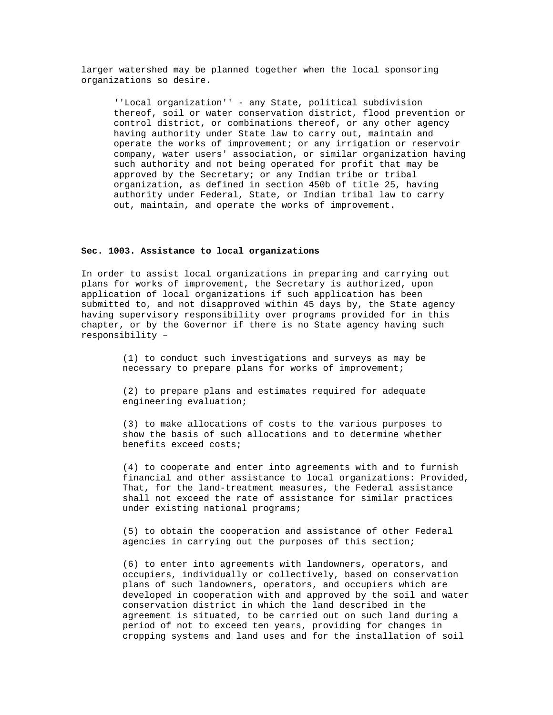larger watershed may be planned together when the local sponsoring organizations so desire.

''Local organization'' - any State, political subdivision thereof, soil or water conservation district, flood prevention or control district, or combinations thereof, or any other agency having authority under State law to carry out, maintain and operate the works of improvement; or any irrigation or reservoir company, water users' association, or similar organization having such authority and not being operated for profit that may be approved by the Secretary; or any Indian tribe or tribal organization, as defined in section 450b of title 25, having authority under Federal, State, or Indian tribal law to carry out, maintain, and operate the works of improvement.

# **Sec. 1003. Assistance to local organizations**

In order to assist local organizations in preparing and carrying out plans for works of improvement, the Secretary is authorized, upon application of local organizations if such application has been submitted to, and not disapproved within 45 days by, the State agency having supervisory responsibility over programs provided for in this chapter, or by the Governor if there is no State agency having such responsibility –

> (1) to conduct such investigations and surveys as may be necessary to prepare plans for works of improvement;

> (2) to prepare plans and estimates required for adequate engineering evaluation;

 (3) to make allocations of costs to the various purposes to show the basis of such allocations and to determine whether benefits exceed costs;

(4) to cooperate and enter into agreements with and to furnish financial and other assistance to local organizations: Provided, That, for the land-treatment measures, the Federal assistance shall not exceed the rate of assistance for similar practices under existing national programs;

 (5) to obtain the cooperation and assistance of other Federal agencies in carrying out the purposes of this section;

(6) to enter into agreements with landowners, operators, and occupiers, individually or collectively, based on conservation plans of such landowners, operators, and occupiers which are developed in cooperation with and approved by the soil and water conservation district in which the land described in the agreement is situated, to be carried out on such land during a period of not to exceed ten years, providing for changes in cropping systems and land uses and for the installation of soil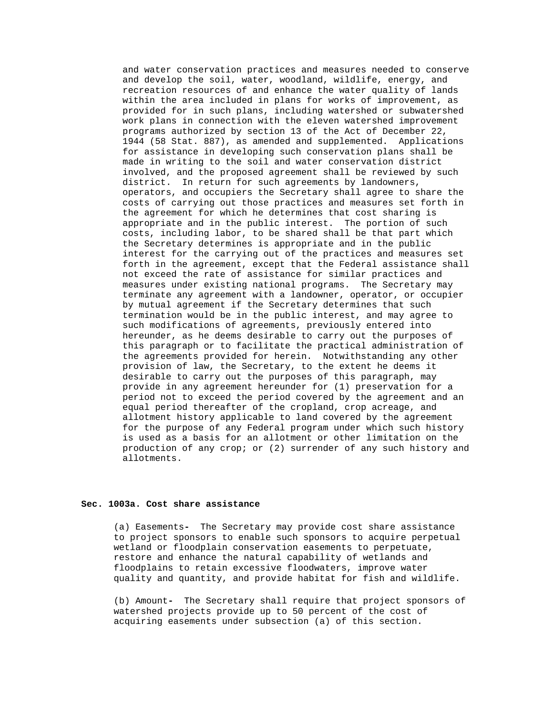and water conservation practices and measures needed to conserve and develop the soil, water, woodland, wildlife, energy, and recreation resources of and enhance the water quality of lands within the area included in plans for works of improvement, as provided for in such plans, including watershed or subwatershed work plans in connection with the eleven watershed improvement programs authorized by section 13 of the Act of December 22, 1944 (58 Stat. 887), as amended and supplemented. Applications for assistance in developing such conservation plans shall be made in writing to the soil and water conservation district involved, and the proposed agreement shall be reviewed by such district. In return for such agreements by landowners, operators, and occupiers the Secretary shall agree to share the costs of carrying out those practices and measures set forth in the agreement for which he determines that cost sharing is appropriate and in the public interest. The portion of such costs, including labor, to be shared shall be that part which the Secretary determines is appropriate and in the public interest for the carrying out of the practices and measures set forth in the agreement, except that the Federal assistance shall not exceed the rate of assistance for similar practices and measures under existing national programs. The Secretary may terminate any agreement with a landowner, operator, or occupier by mutual agreement if the Secretary determines that such termination would be in the public interest, and may agree to such modifications of agreements, previously entered into hereunder, as he deems desirable to carry out the purposes of this paragraph or to facilitate the practical administration of the agreements provided for herein. Notwithstanding any other provision of law, the Secretary, to the extent he deems it desirable to carry out the purposes of this paragraph, may provide in any agreement hereunder for (1) preservation for a period not to exceed the period covered by the agreement and an equal period thereafter of the cropland, crop acreage, and allotment history applicable to land covered by the agreement for the purpose of any Federal program under which such history is used as a basis for an allotment or other limitation on the production of any crop; or (2) surrender of any such history and allotments.

#### **Sec. 1003a. Cost share assistance**

(a) Easements**-** The Secretary may provide cost share assistance to project sponsors to enable such sponsors to acquire perpetual wetland or floodplain conservation easements to perpetuate, restore and enhance the natural capability of wetlands and floodplains to retain excessive floodwaters, improve water quality and quantity, and provide habitat for fish and wildlife.

(b) Amount**-** The Secretary shall require that project sponsors of watershed projects provide up to 50 percent of the cost of acquiring easements under subsection (a) of this section.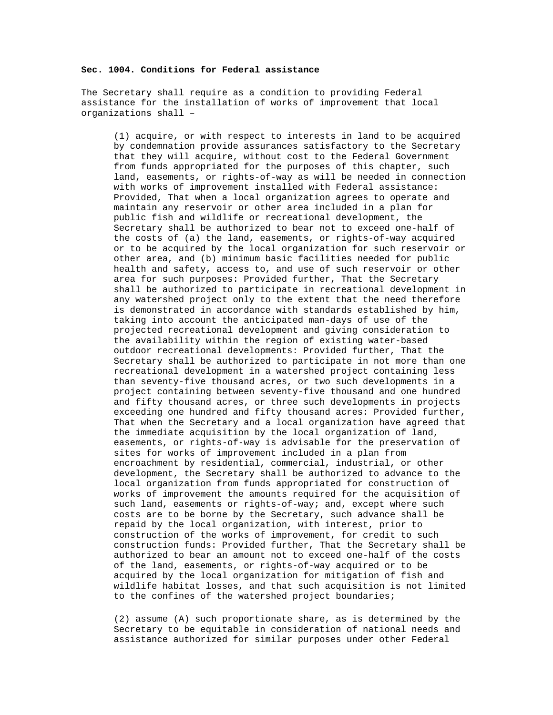#### **Sec. 1004. Conditions for Federal assistance**

The Secretary shall require as a condition to providing Federal assistance for the installation of works of improvement that local organizations shall –

(1) acquire, or with respect to interests in land to be acquired by condemnation provide assurances satisfactory to the Secretary that they will acquire, without cost to the Federal Government from funds appropriated for the purposes of this chapter, such land, easements, or rights-of-way as will be needed in connection with works of improvement installed with Federal assistance: Provided, That when a local organization agrees to operate and maintain any reservoir or other area included in a plan for public fish and wildlife or recreational development, the Secretary shall be authorized to bear not to exceed one-half of the costs of (a) the land, easements, or rights-of-way acquired or to be acquired by the local organization for such reservoir or other area, and (b) minimum basic facilities needed for public health and safety, access to, and use of such reservoir or other area for such purposes: Provided further, That the Secretary shall be authorized to participate in recreational development in any watershed project only to the extent that the need therefore is demonstrated in accordance with standards established by him, taking into account the anticipated man-days of use of the projected recreational development and giving consideration to the availability within the region of existing water-based outdoor recreational developments: Provided further, That the Secretary shall be authorized to participate in not more than one recreational development in a watershed project containing less than seventy-five thousand acres, or two such developments in a project containing between seventy-five thousand and one hundred and fifty thousand acres, or three such developments in projects exceeding one hundred and fifty thousand acres: Provided further, That when the Secretary and a local organization have agreed that the immediate acquisition by the local organization of land, easements, or rights-of-way is advisable for the preservation of sites for works of improvement included in a plan from encroachment by residential, commercial, industrial, or other development, the Secretary shall be authorized to advance to the local organization from funds appropriated for construction of works of improvement the amounts required for the acquisition of such land, easements or rights-of-way; and, except where such costs are to be borne by the Secretary, such advance shall be repaid by the local organization, with interest, prior to construction of the works of improvement, for credit to such construction funds: Provided further, That the Secretary shall be authorized to bear an amount not to exceed one-half of the costs of the land, easements, or rights-of-way acquired or to be acquired by the local organization for mitigation of fish and wildlife habitat losses, and that such acquisition is not limited to the confines of the watershed project boundaries;

(2) assume (A) such proportionate share, as is determined by the Secretary to be equitable in consideration of national needs and assistance authorized for similar purposes under other Federal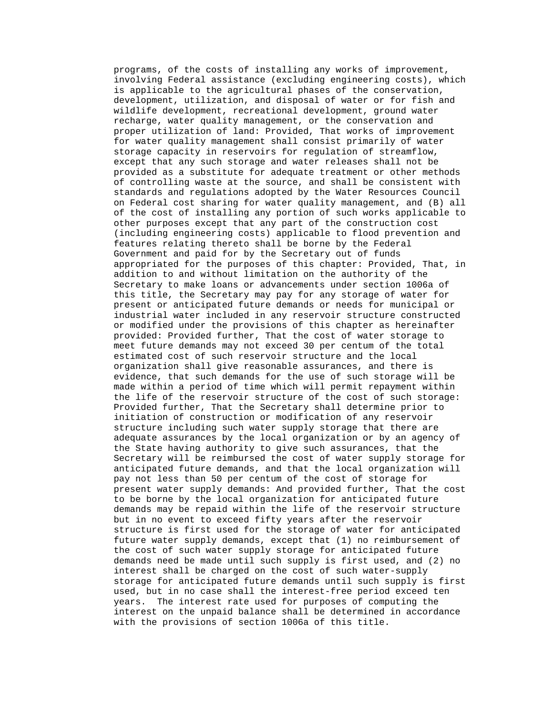programs, of the costs of installing any works of improvement, involving Federal assistance (excluding engineering costs), which is applicable to the agricultural phases of the conservation, development, utilization, and disposal of water or for fish and wildlife development, recreational development, ground water recharge, water quality management, or the conservation and proper utilization of land: Provided, That works of improvement for water quality management shall consist primarily of water storage capacity in reservoirs for regulation of streamflow, except that any such storage and water releases shall not be provided as a substitute for adequate treatment or other methods of controlling waste at the source, and shall be consistent with standards and regulations adopted by the Water Resources Council on Federal cost sharing for water quality management, and (B) all of the cost of installing any portion of such works applicable to other purposes except that any part of the construction cost (including engineering costs) applicable to flood prevention and features relating thereto shall be borne by the Federal Government and paid for by the Secretary out of funds appropriated for the purposes of this chapter: Provided, That, in addition to and without limitation on the authority of the Secretary to make loans or advancements under section 1006a of this title, the Secretary may pay for any storage of water for present or anticipated future demands or needs for municipal or industrial water included in any reservoir structure constructed or modified under the provisions of this chapter as hereinafter provided: Provided further, That the cost of water storage to meet future demands may not exceed 30 per centum of the total estimated cost of such reservoir structure and the local organization shall give reasonable assurances, and there is evidence, that such demands for the use of such storage will be made within a period of time which will permit repayment within the life of the reservoir structure of the cost of such storage: Provided further, That the Secretary shall determine prior to initiation of construction or modification of any reservoir structure including such water supply storage that there are adequate assurances by the local organization or by an agency of the State having authority to give such assurances, that the Secretary will be reimbursed the cost of water supply storage for anticipated future demands, and that the local organization will pay not less than 50 per centum of the cost of storage for present water supply demands: And provided further, That the cost to be borne by the local organization for anticipated future demands may be repaid within the life of the reservoir structure but in no event to exceed fifty years after the reservoir structure is first used for the storage of water for anticipated future water supply demands, except that (1) no reimbursement of the cost of such water supply storage for anticipated future demands need be made until such supply is first used, and (2) no interest shall be charged on the cost of such water-supply storage for anticipated future demands until such supply is first used, but in no case shall the interest-free period exceed ten years. The interest rate used for purposes of computing the interest on the unpaid balance shall be determined in accordance with the provisions of section 1006a of this title.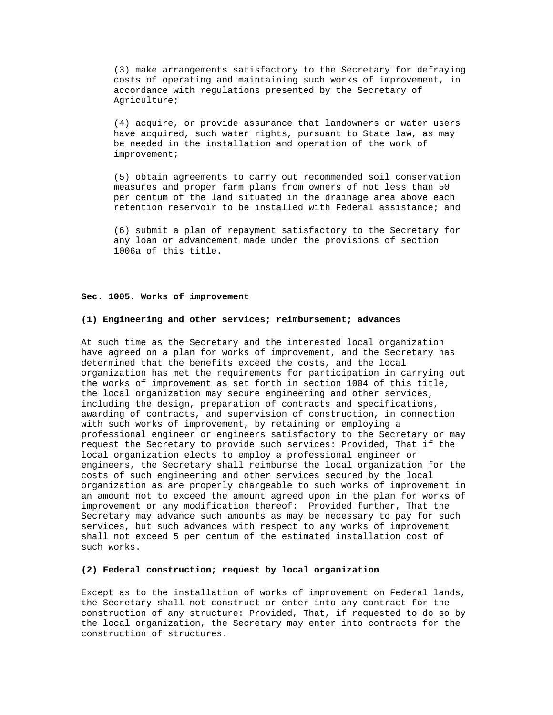(3) make arrangements satisfactory to the Secretary for defraying costs of operating and maintaining such works of improvement, in accordance with regulations presented by the Secretary of Agriculture;

(4) acquire, or provide assurance that landowners or water users have acquired, such water rights, pursuant to State law, as may be needed in the installation and operation of the work of improvement;

(5) obtain agreements to carry out recommended soil conservation measures and proper farm plans from owners of not less than 50 per centum of the land situated in the drainage area above each retention reservoir to be installed with Federal assistance; and

(6) submit a plan of repayment satisfactory to the Secretary for any loan or advancement made under the provisions of section 1006a of this title.

#### **Sec. 1005. Works of improvement**

#### **(1) Engineering and other services; reimbursement; advances**

At such time as the Secretary and the interested local organization have agreed on a plan for works of improvement, and the Secretary has determined that the benefits exceed the costs, and the local organization has met the requirements for participation in carrying out the works of improvement as set forth in section 1004 of this title, the local organization may secure engineering and other services, including the design, preparation of contracts and specifications, awarding of contracts, and supervision of construction, in connection with such works of improvement, by retaining or employing a professional engineer or engineers satisfactory to the Secretary or may request the Secretary to provide such services: Provided, That if the local organization elects to employ a professional engineer or engineers, the Secretary shall reimburse the local organization for the costs of such engineering and other services secured by the local organization as are properly chargeable to such works of improvement in an amount not to exceed the amount agreed upon in the plan for works of improvement or any modification thereof: Provided further, That the Secretary may advance such amounts as may be necessary to pay for such services, but such advances with respect to any works of improvement shall not exceed 5 per centum of the estimated installation cost of such works.

#### **(2) Federal construction; request by local organization**

Except as to the installation of works of improvement on Federal lands, the Secretary shall not construct or enter into any contract for the construction of any structure: Provided, That, if requested to do so by the local organization, the Secretary may enter into contracts for the construction of structures.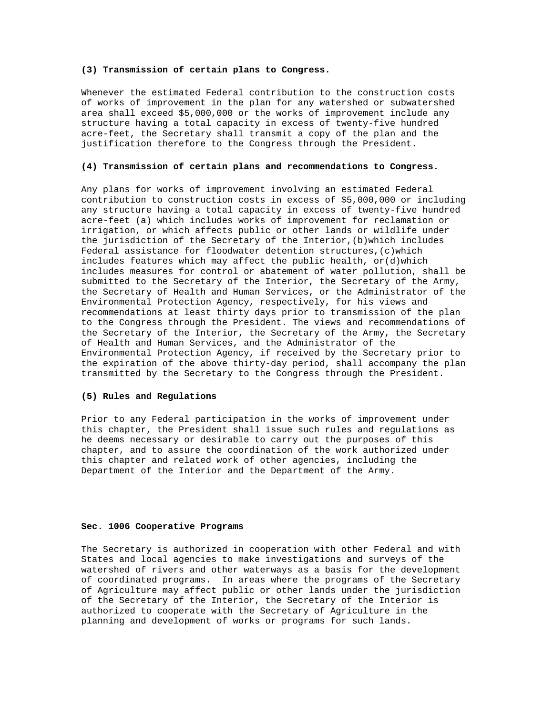#### **(3) Transmission of certain plans to Congress.**

Whenever the estimated Federal contribution to the construction costs of works of improvement in the plan for any watershed or subwatershed area shall exceed \$5,000,000 or the works of improvement include any structure having a total capacity in excess of twenty-five hundred acre-feet, the Secretary shall transmit a copy of the plan and the justification therefore to the Congress through the President.

#### **(4) Transmission of certain plans and recommendations to Congress.**

Any plans for works of improvement involving an estimated Federal contribution to construction costs in excess of \$5,000,000 or including any structure having a total capacity in excess of twenty-five hundred acre-feet (a) which includes works of improvement for reclamation or irrigation, or which affects public or other lands or wildlife under the jurisdiction of the Secretary of the Interior,(b)which includes Federal assistance for floodwater detention structures,(c)which includes features which may affect the public health, or(d)which includes measures for control or abatement of water pollution, shall be submitted to the Secretary of the Interior, the Secretary of the Army, the Secretary of Health and Human Services, or the Administrator of the Environmental Protection Agency, respectively, for his views and recommendations at least thirty days prior to transmission of the plan to the Congress through the President. The views and recommendations of the Secretary of the Interior, the Secretary of the Army, the Secretary of Health and Human Services, and the Administrator of the Environmental Protection Agency, if received by the Secretary prior to the expiration of the above thirty-day period, shall accompany the plan transmitted by the Secretary to the Congress through the President.

# **(5) Rules and Regulations**

Prior to any Federal participation in the works of improvement under this chapter, the President shall issue such rules and regulations as he deems necessary or desirable to carry out the purposes of this chapter, and to assure the coordination of the work authorized under this chapter and related work of other agencies, including the Department of the Interior and the Department of the Army.

## **Sec. 1006 Cooperative Programs**

The Secretary is authorized in cooperation with other Federal and with States and local agencies to make investigations and surveys of the watershed of rivers and other waterways as a basis for the development of coordinated programs. In areas where the programs of the Secretary of Agriculture may affect public or other lands under the jurisdiction of the Secretary of the Interior, the Secretary of the Interior is authorized to cooperate with the Secretary of Agriculture in the planning and development of works or programs for such lands.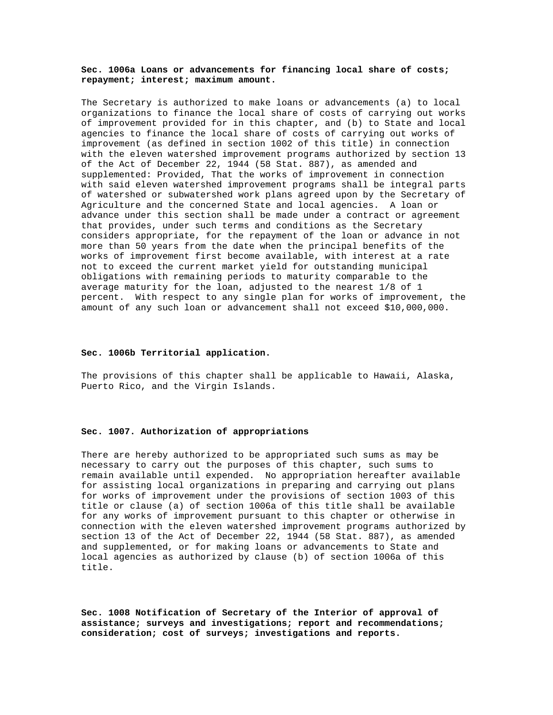# **Sec. 1006a Loans or advancements for financing local share of costs; repayment; interest; maximum amount.**

The Secretary is authorized to make loans or advancements (a) to local organizations to finance the local share of costs of carrying out works of improvement provided for in this chapter, and (b) to State and local agencies to finance the local share of costs of carrying out works of improvement (as defined in section 1002 of this title) in connection with the eleven watershed improvement programs authorized by section 13 of the Act of December 22, 1944 (58 Stat. 887), as amended and supplemented: Provided, That the works of improvement in connection with said eleven watershed improvement programs shall be integral parts of watershed or subwatershed work plans agreed upon by the Secretary of Agriculture and the concerned State and local agencies. A loan or advance under this section shall be made under a contract or agreement that provides, under such terms and conditions as the Secretary considers appropriate, for the repayment of the loan or advance in not more than 50 years from the date when the principal benefits of the works of improvement first become available, with interest at a rate not to exceed the current market yield for outstanding municipal obligations with remaining periods to maturity comparable to the average maturity for the loan, adjusted to the nearest 1/8 of 1 percent. With respect to any single plan for works of improvement, the amount of any such loan or advancement shall not exceed \$10,000,000.

#### **Sec. 1006b Territorial application.**

The provisions of this chapter shall be applicable to Hawaii, Alaska, Puerto Rico, and the Virgin Islands.

#### **Sec. 1007. Authorization of appropriations**

There are hereby authorized to be appropriated such sums as may be necessary to carry out the purposes of this chapter, such sums to remain available until expended. No appropriation hereafter available for assisting local organizations in preparing and carrying out plans for works of improvement under the provisions of section 1003 of this title or clause (a) of section 1006a of this title shall be available for any works of improvement pursuant to this chapter or otherwise in connection with the eleven watershed improvement programs authorized by section 13 of the Act of December 22, 1944 (58 Stat. 887), as amended and supplemented, or for making loans or advancements to State and local agencies as authorized by clause (b) of section 1006a of this title.

**Sec. 1008 Notification of Secretary of the Interior of approval of assistance; surveys and investigations; report and recommendations; consideration; cost of surveys; investigations and reports.**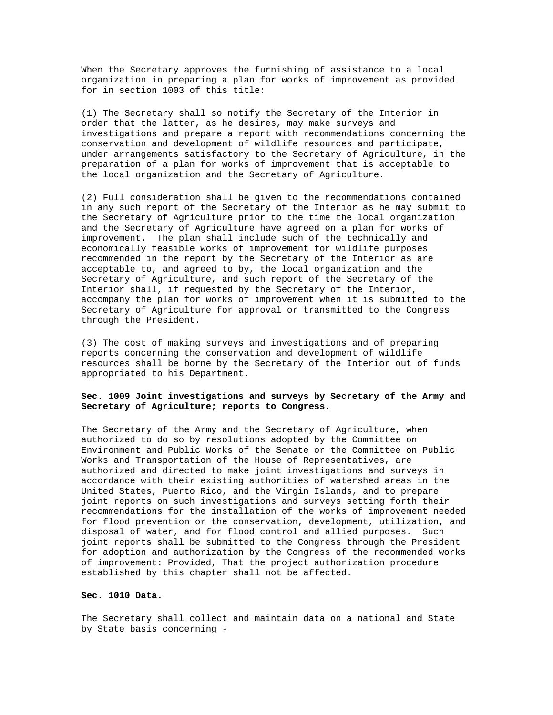When the Secretary approves the furnishing of assistance to a local organization in preparing a plan for works of improvement as provided for in section 1003 of this title:

(1) The Secretary shall so notify the Secretary of the Interior in order that the latter, as he desires, may make surveys and investigations and prepare a report with recommendations concerning the conservation and development of wildlife resources and participate, under arrangements satisfactory to the Secretary of Agriculture, in the preparation of a plan for works of improvement that is acceptable to the local organization and the Secretary of Agriculture.

(2) Full consideration shall be given to the recommendations contained in any such report of the Secretary of the Interior as he may submit to the Secretary of Agriculture prior to the time the local organization and the Secretary of Agriculture have agreed on a plan for works of improvement. The plan shall include such of the technically and economically feasible works of improvement for wildlife purposes recommended in the report by the Secretary of the Interior as are acceptable to, and agreed to by, the local organization and the Secretary of Agriculture, and such report of the Secretary of the Interior shall, if requested by the Secretary of the Interior, accompany the plan for works of improvement when it is submitted to the Secretary of Agriculture for approval or transmitted to the Congress through the President.

(3) The cost of making surveys and investigations and of preparing reports concerning the conservation and development of wildlife resources shall be borne by the Secretary of the Interior out of funds appropriated to his Department.

# **Sec. 1009 Joint investigations and surveys by Secretary of the Army and Secretary of Agriculture; reports to Congress.**

The Secretary of the Army and the Secretary of Agriculture, when authorized to do so by resolutions adopted by the Committee on Environment and Public Works of the Senate or the Committee on Public Works and Transportation of the House of Representatives, are authorized and directed to make joint investigations and surveys in accordance with their existing authorities of watershed areas in the United States, Puerto Rico, and the Virgin Islands, and to prepare joint reports on such investigations and surveys setting forth their recommendations for the installation of the works of improvement needed for flood prevention or the conservation, development, utilization, and disposal of water, and for flood control and allied purposes. Such joint reports shall be submitted to the Congress through the President for adoption and authorization by the Congress of the recommended works of improvement: Provided, That the project authorization procedure established by this chapter shall not be affected.

# **Sec. 1010 Data.**

The Secretary shall collect and maintain data on a national and State by State basis concerning -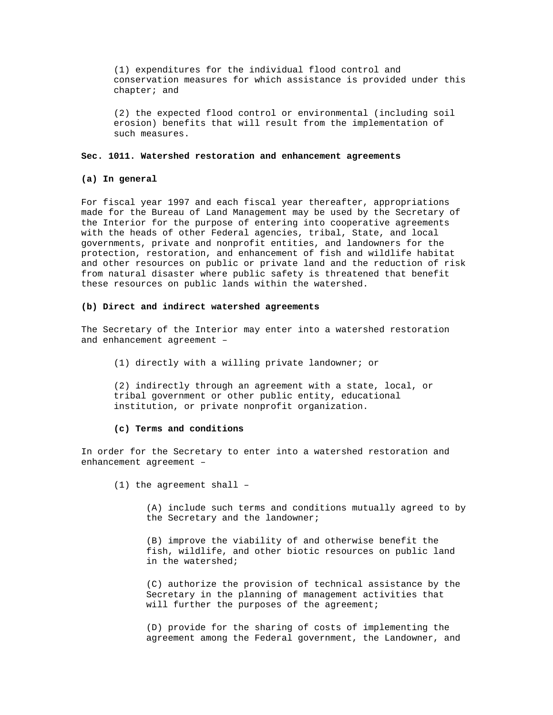(1) expenditures for the individual flood control and conservation measures for which assistance is provided under this chapter; and

(2) the expected flood control or environmental (including soil erosion) benefits that will result from the implementation of such measures.

#### **Sec. 1011. Watershed restoration and enhancement agreements**

#### **(a) In general**

For fiscal year 1997 and each fiscal year thereafter, appropriations made for the Bureau of Land Management may be used by the Secretary of the Interior for the purpose of entering into cooperative agreements with the heads of other Federal agencies, tribal, State, and local governments, private and nonprofit entities, and landowners for the protection, restoration, and enhancement of fish and wildlife habitat and other resources on public or private land and the reduction of risk from natural disaster where public safety is threatened that benefit these resources on public lands within the watershed.

#### **(b) Direct and indirect watershed agreements**

The Secretary of the Interior may enter into a watershed restoration and enhancement agreement –

(1) directly with a willing private landowner; or

(2) indirectly through an agreement with a state, local, or tribal government or other public entity, educational institution, or private nonprofit organization.

#### **(c) Terms and conditions**

In order for the Secretary to enter into a watershed restoration and enhancement agreement –

(1) the agreement shall –

(A) include such terms and conditions mutually agreed to by the Secretary and the landowner;

(B) improve the viability of and otherwise benefit the fish, wildlife, and other biotic resources on public land in the watershed;

(C) authorize the provision of technical assistance by the Secretary in the planning of management activities that will further the purposes of the agreement;

(D) provide for the sharing of costs of implementing the agreement among the Federal government, the Landowner, and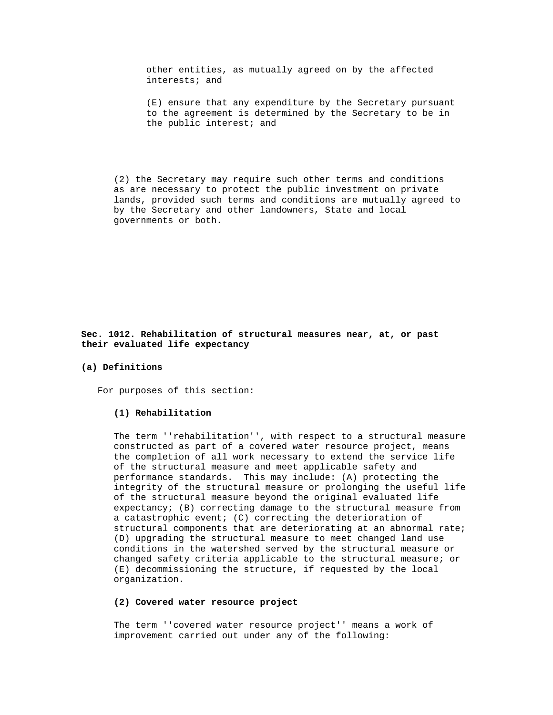other entities, as mutually agreed on by the affected interests; and

(E) ensure that any expenditure by the Secretary pursuant to the agreement is determined by the Secretary to be in the public interest; and

(2) the Secretary may require such other terms and conditions as are necessary to protect the public investment on private lands, provided such terms and conditions are mutually agreed to by the Secretary and other landowners, State and local governments or both.

**Sec. 1012. Rehabilitation of structural measures near, at, or past their evaluated life expectancy** 

#### **(a) Definitions**

For purposes of this section:

#### **(1) Rehabilitation**

The term ''rehabilitation'', with respect to a structural measure constructed as part of a covered water resource project, means the completion of all work necessary to extend the service life of the structural measure and meet applicable safety and performance standards. This may include: (A) protecting the integrity of the structural measure or prolonging the useful life of the structural measure beyond the original evaluated life expectancy; (B) correcting damage to the structural measure from a catastrophic event; (C) correcting the deterioration of structural components that are deteriorating at an abnormal rate; (D) upgrading the structural measure to meet changed land use conditions in the watershed served by the structural measure or changed safety criteria applicable to the structural measure; or (E) decommissioning the structure, if requested by the local organization.

#### **(2) Covered water resource project**

The term ''covered water resource project'' means a work of improvement carried out under any of the following: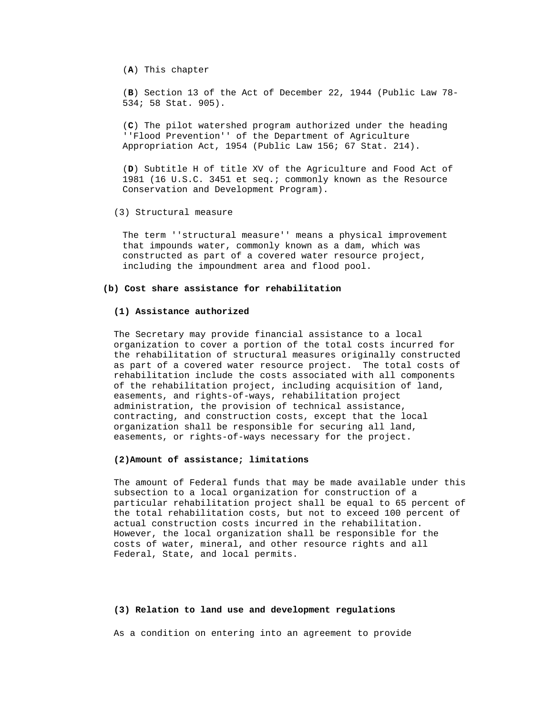(**A**) This chapter

(**B**) Section 13 of the Act of December 22, 1944 (Public Law 78- 534; 58 Stat. 905).

(**C**) The pilot watershed program authorized under the heading ''Flood Prevention'' of the Department of Agriculture Appropriation Act, 1954 (Public Law 156; 67 Stat. 214).

(**D**) Subtitle H of title XV of the Agriculture and Food Act of 1981 (16 U.S.C. 3451 et seq.; commonly known as the Resource Conservation and Development Program).

(3) Structural measure

The term ''structural measure'' means a physical improvement that impounds water, commonly known as a dam, which was constructed as part of a covered water resource project, including the impoundment area and flood pool.

#### **(b) Cost share assistance for rehabilitation**

# **(1) Assistance authorized**

The Secretary may provide financial assistance to a local organization to cover a portion of the total costs incurred for the rehabilitation of structural measures originally constructed as part of a covered water resource project. The total costs of rehabilitation include the costs associated with all components of the rehabilitation project, including acquisition of land, easements, and rights-of-ways, rehabilitation project administration, the provision of technical assistance, contracting, and construction costs, except that the local organization shall be responsible for securing all land, easements, or rights-of-ways necessary for the project.

#### **(2)Amount of assistance; limitations**

The amount of Federal funds that may be made available under this subsection to a local organization for construction of a particular rehabilitation project shall be equal to 65 percent of the total rehabilitation costs, but not to exceed 100 percent of actual construction costs incurred in the rehabilitation. However, the local organization shall be responsible for the costs of water, mineral, and other resource rights and all Federal, State, and local permits.

# **(3) Relation to land use and development regulations**

As a condition on entering into an agreement to provide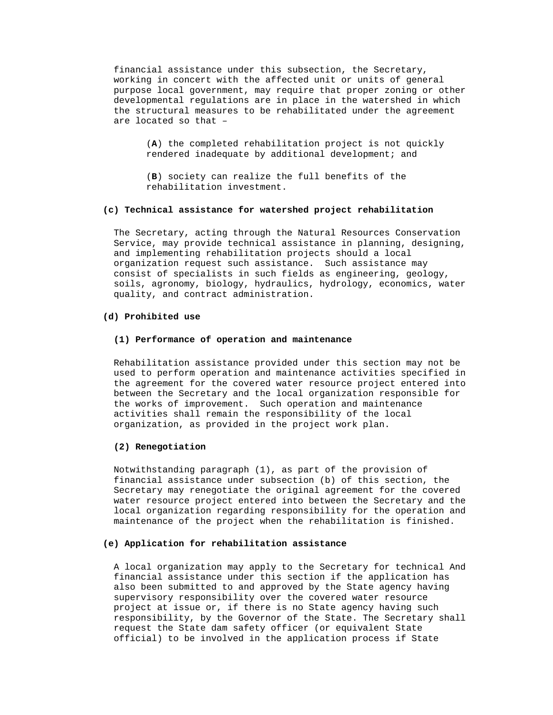financial assistance under this subsection, the Secretary, working in concert with the affected unit or units of general purpose local government, may require that proper zoning or other developmental regulations are in place in the watershed in which the structural measures to be rehabilitated under the agreement are located so that –

(**A**) the completed rehabilitation project is not quickly rendered inadequate by additional development; and

(**B**) society can realize the full benefits of the rehabilitation investment.

# **(c) Technical assistance for watershed project rehabilitation**

The Secretary, acting through the Natural Resources Conservation Service, may provide technical assistance in planning, designing, and implementing rehabilitation projects should a local organization request such assistance. Such assistance may consist of specialists in such fields as engineering, geology, soils, agronomy, biology, hydraulics, hydrology, economics, water quality, and contract administration.

#### **(d) Prohibited use**

#### **(1) Performance of operation and maintenance**

Rehabilitation assistance provided under this section may not be used to perform operation and maintenance activities specified in the agreement for the covered water resource project entered into between the Secretary and the local organization responsible for the works of improvement. Such operation and maintenance activities shall remain the responsibility of the local organization, as provided in the project work plan.

# **(2) Renegotiation**

Notwithstanding paragraph (1), as part of the provision of financial assistance under subsection (b) of this section, the Secretary may renegotiate the original agreement for the covered water resource project entered into between the Secretary and the local organization regarding responsibility for the operation and maintenance of the project when the rehabilitation is finished.

#### **(e) Application for rehabilitation assistance**

A local organization may apply to the Secretary for technical And financial assistance under this section if the application has also been submitted to and approved by the State agency having supervisory responsibility over the covered water resource project at issue or, if there is no State agency having such responsibility, by the Governor of the State. The Secretary shall request the State dam safety officer (or equivalent State official) to be involved in the application process if State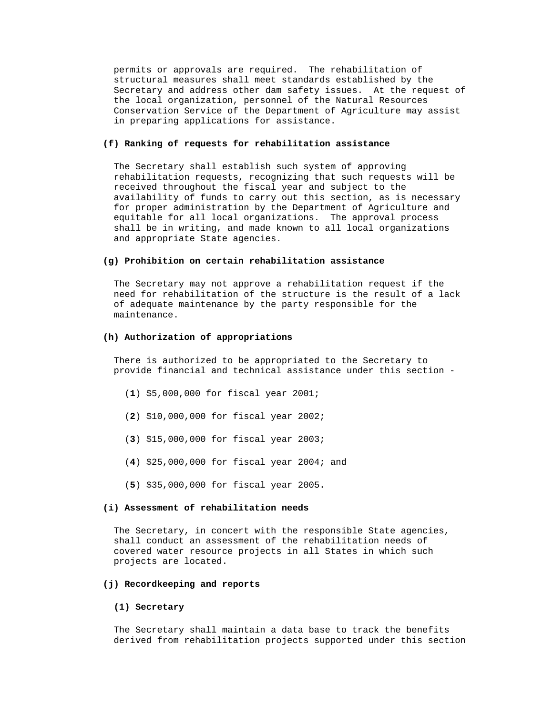permits or approvals are required. The rehabilitation of structural measures shall meet standards established by the Secretary and address other dam safety issues. At the request of the local organization, personnel of the Natural Resources Conservation Service of the Department of Agriculture may assist in preparing applications for assistance.

# **(f) Ranking of requests for rehabilitation assistance**

The Secretary shall establish such system of approving rehabilitation requests, recognizing that such requests will be received throughout the fiscal year and subject to the availability of funds to carry out this section, as is necessary for proper administration by the Department of Agriculture and equitable for all local organizations. The approval process shall be in writing, and made known to all local organizations and appropriate State agencies.

#### **(g) Prohibition on certain rehabilitation assistance**

The Secretary may not approve a rehabilitation request if the need for rehabilitation of the structure is the result of a lack of adequate maintenance by the party responsible for the maintenance.

#### **(h) Authorization of appropriations**

There is authorized to be appropriated to the Secretary to provide financial and technical assistance under this section -

- (**1**) \$5,000,000 for fiscal year 2001;
- (**2**) \$10,000,000 for fiscal year 2002;
- (**3**) \$15,000,000 for fiscal year 2003;
- (**4**) \$25,000,000 for fiscal year 2004; and
- (**5**) \$35,000,000 for fiscal year 2005.

#### **(i) Assessment of rehabilitation needs**

The Secretary, in concert with the responsible State agencies, shall conduct an assessment of the rehabilitation needs of covered water resource projects in all States in which such projects are located.

# **(j) Recordkeeping and reports**

#### **(1) Secretary**

The Secretary shall maintain a data base to track the benefits derived from rehabilitation projects supported under this section